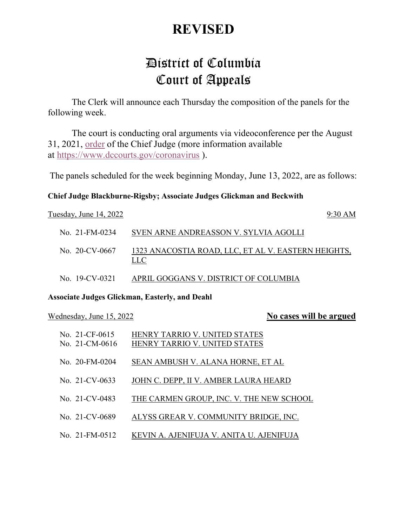## **REVISED**

# District of Columbia Court of Appeals

The Clerk will announce each Thursday the composition of the panels for the following week.

The court is conducting oral arguments via videoconference per the August 31, 2021, [order](https://www.dccourts.gov/sites/default/files/2020-11/DCCA%20Court%20Operations%20Order%2011.23.2020.pdf) of the Chief Judge (more information available at <https://www.dccourts.gov/coronavirus> ).

The panels scheduled for the week beginning Monday, June 13, 2022, are as follows:

#### **Chief Judge Blackburne-Rigsby; Associate Judges Glickman and Beckwith**

| Tuesday, June 14, 2022 | $9:30$ AM                                                  |
|------------------------|------------------------------------------------------------|
| $\rm{No.}$ 21-FM-0234  | SVEN ARNE ANDREASSON V. SYLVIA AGOLLI                      |
| No. 20-CV-0667         | 1323 ANACOSTIA ROAD, LLC, ET AL V. EASTERN HEIGHTS,<br>LLC |
| No. 19-CV-0321         | APRIL GOGGANS V. DISTRICT OF COLUMBIA                      |

#### **Associate Judges Glickman, Easterly, and Deahl**

### Wednesday, June 15, 2022 **No cases will be argued**

| No. $21$ -CF-0615 | HENRY TARRIO V. UNITED STATES     |
|-------------------|-----------------------------------|
| No. 21-CM-0616    | HENRY TARRIO V. UNITED STATES     |
| No. 20-FM-0204    | SEAN AMBUSH V. ALANA HORNE, ET AL |

- No. 21-CV-0633 JOHN C. DEPP, II V. AMBER LAURA HEARD
- No. 21-CV-0483 THE CARMEN GROUP, INC. V. THE NEW SCHOOL
- No. 21-CV-0689 ALYSS GREAR V. COMMUNITY BRIDGE, INC.
- No. 21-FM-0512 KEVIN A. AJENIFUJA V. ANITA U. AJENIFUJA